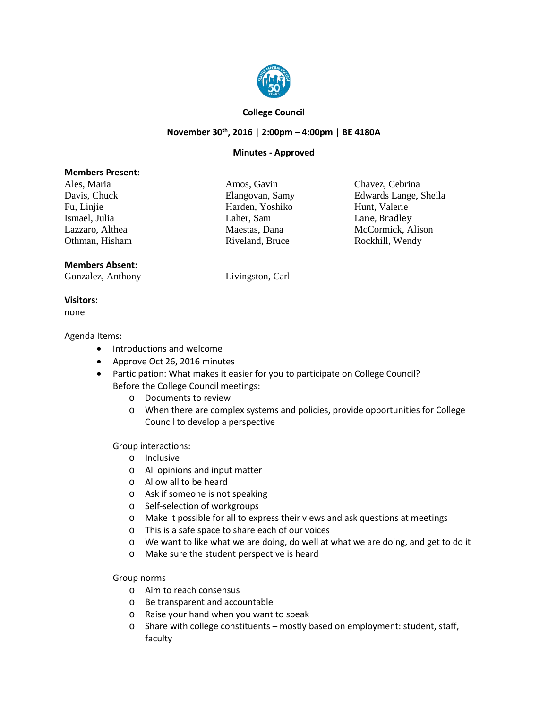

## **College Council**

## **November 30th, 2016 | 2:00pm – 4:00pm | BE 4180A**

## **Minutes - Approved**

### **Members Present:**

Ales, Maria Amos, Gavin Chavez, Cebrina Ismael, Julia Laher, Sam Laher, Sam Lane, Bradley<br>Lazzaro, Althea Maestas, Dana McCormick, A Othman, Hisham Riveland, Bruce Rockhill, Wendy

Fu, Linjie Harden, Yoshiko Hunt, Valerie

Davis, Chuck Elangovan, Samy Edwards Lange, Sheila McCormick, Alison

# **Members Absent:**

Gonzalez, Anthony Livingston, Carl

**Visitors:** none

#### Agenda Items:

- Introductions and welcome
- Approve Oct 26, 2016 minutes
- Participation: What makes it easier for you to participate on College Council? Before the College Council meetings:
	- o Documents to review
	- o When there are complex systems and policies, provide opportunities for College Council to develop a perspective

Group interactions:

- o Inclusive
- o All opinions and input matter
- o Allow all to be heard
- o Ask if someone is not speaking
- o Self-selection of workgroups
- o Make it possible for all to express their views and ask questions at meetings
- o This is a safe space to share each of our voices
- o We want to like what we are doing, do well at what we are doing, and get to do it
- o Make sure the student perspective is heard

### Group norms

- o Aim to reach consensus
- o Be transparent and accountable
- o Raise your hand when you want to speak
- o Share with college constituents mostly based on employment: student, staff, faculty